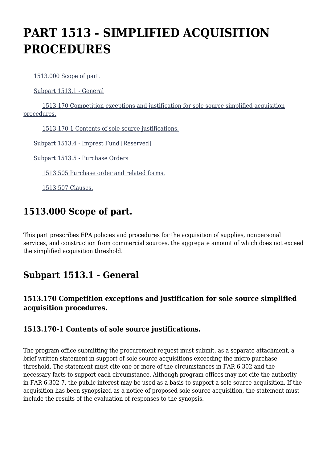# **PART 1513 - SIMPLIFIED ACQUISITION PROCEDURES**

[1513.000 Scope of part.](https://origin-www.acquisition.gov/%5Brp:link:epaar-part-1513%5D#Section_1513_000_T48_601311011)

[Subpart 1513.1 - General](https://origin-www.acquisition.gov/%5Brp:link:epaar-part-1513%5D#Subpart_1513_1_T48_6013111)

 [1513.170 Competition exceptions and justification for sole source simplified acquisition](https://origin-www.acquisition.gov/%5Brp:link:epaar-part-1513%5D#Section_1513_170_T48_601311111) [procedures.](https://origin-www.acquisition.gov/%5Brp:link:epaar-part-1513%5D#Section_1513_170_T48_601311111)

[1513.170-1 Contents of sole source justifications.](https://origin-www.acquisition.gov/%5Brp:link:epaar-part-1513%5D#Section_1513_170_1_T48_601311112)

[Subpart 1513.4 - Imprest Fund \[Reserved\]](https://origin-www.acquisition.gov/%5Brp:link:epaar-part-1513%5D#Subpart_1513_4_T48_6013112)

[Subpart 1513.5 - Purchase Orders](https://origin-www.acquisition.gov/%5Brp:link:epaar-part-1513%5D#Subpart_1513_5_T48_6013113)

[1513.505 Purchase order and related forms.](https://origin-www.acquisition.gov/%5Brp:link:epaar-part-1513%5D#Section_1513_505_T48_601311311)

[1513.507 Clauses.](https://origin-www.acquisition.gov/%5Brp:link:epaar-part-1513%5D#Section_1513_507_T48_601311312)

# **1513.000 Scope of part.**

This part prescribes EPA policies and procedures for the acquisition of supplies, nonpersonal services, and construction from commercial sources, the aggregate amount of which does not exceed the simplified acquisition threshold.

### **Subpart 1513.1 - General**

#### **1513.170 Competition exceptions and justification for sole source simplified acquisition procedures.**

#### **1513.170-1 Contents of sole source justifications.**

The program office submitting the procurement request must submit, as a separate attachment, a brief written statement in support of sole source acquisitions exceeding the micro-purchase threshold. The statement must cite one or more of the circumstances in FAR 6.302 and the necessary facts to support each circumstance. Although program offices may not cite the authority in FAR 6.302-7, the public interest may be used as a basis to support a sole source acquisition. If the acquisition has been synopsized as a notice of proposed sole source acquisition, the statement must include the results of the evaluation of responses to the synopsis.